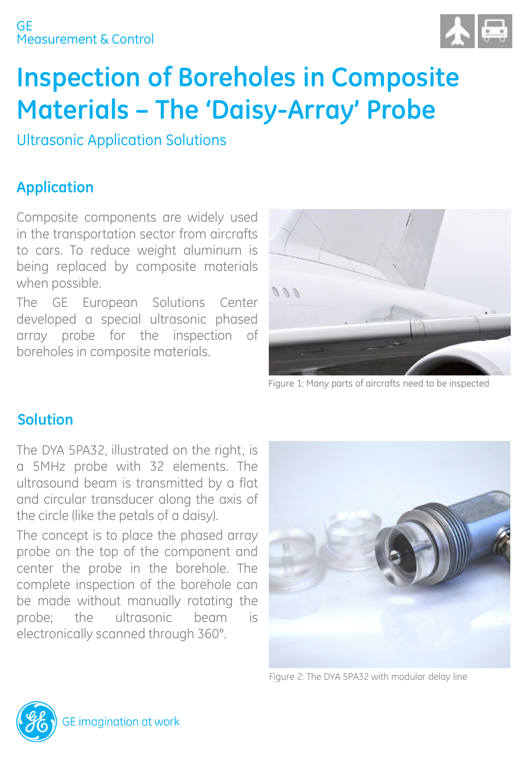#### Measurement & Control GE



# **Inspection of Boreholes in Composite Materials – The 'Daisy-Array' Probe**

Ultrasonic Application Solutions

# **Application**

Composite components are widely used in the transportation sector from aircrafts to cars. To reduce weight aluminum is being replaced by composite materials when possible.

The GE European Solutions Center developed a special ultrasonic phased array probe for the inspection of boreholes in composite materials.



Figure 1: Many parts of aircrafts need to be inspected

## **Solution**

The DYA 5PA32, illustrated on the right, is a 5MHz probe with 32 elements. The ultrasound beam is transmitted by a flat and circular transducer along the axis of the circle (like the petals of a daisy).

The concept is to place the phased array probe on the top of the component and center the probe in the borehole. The complete inspection of the borehole can be made without manually rotating the probe; the ultrasonic beam is electronically scanned through 360°.



Figure 2: The DYA 5PA32 with modular delay line